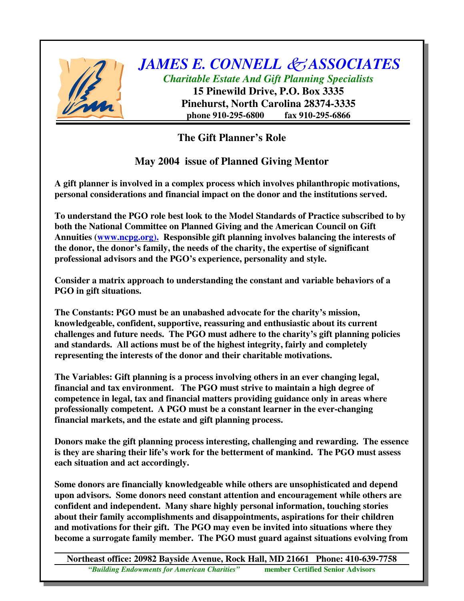

## *JAMES E. CONNELL ASSOCIATES Charitable Estate And Gift Planning Specialists* **15 Pinewild Drive, P.O. Box 3335**

**Pinehurst, North Carolina 28374-3335 phone 910-295-6800 fax 910-295-6866**

## **The Gift Planner's Role**

## **May 2004 issue of Planned Giving Mentor**

**A gift planner is involved in a complex process which involves philanthropic motivations, personal considerations and financial impact on the donor and the institutions served.**

**To understand the PGO role best look to the Model Standards of Practice subscribed to by both the National Committee on Planned Giving and the American Council on Gift Annuities (www.ncpg.org). Responsible gift planning involves balancing the interests of the donor, the donor's family, the needs of the charity, the expertise of significant professional advisors and the PGO's experience, personality and style.**

**Consider a matrix approach to understanding the constant and variable behaviors of a PGO in gift situations.**

**The Constants: PGO must be an unabashed advocate for the charity's mission, knowledgeable, confident, supportive, reassuring and enthusiastic about its current challenges and future needs. The PGO must adhere to the charity's gift planning policies and standards. All actions must be of the highest integrity, fairly and completely representing the interests of the donor and their charitable motivations.**

**The Variables: Gift planning is a process involving others in an ever changing legal, financial and tax environment. The PGO must strive to maintain a high degree of competence in legal, tax and financial matters providing guidance only in areas where professionally competent. A PGO must be a constant learner in the ever-changing financial markets, and the estate and gift planning process.**

**Donors make the gift planning process interesting, challenging and rewarding. The essence is they are sharing their life's work for the betterment of mankind. The PGO must assess each situation and act accordingly.**

**Some donors are financially knowledgeable while others are unsophisticated and depend upon advisors. Some donors need constant attention and encouragement while others are confident and independent. Many share highly personal information, touching stories about their family accomplishments and disappointments, aspirations for their children and motivations for their gift. The PGO may even be invited into situations where they become a surrogate family member. The PGO must guard against situations evolving from**